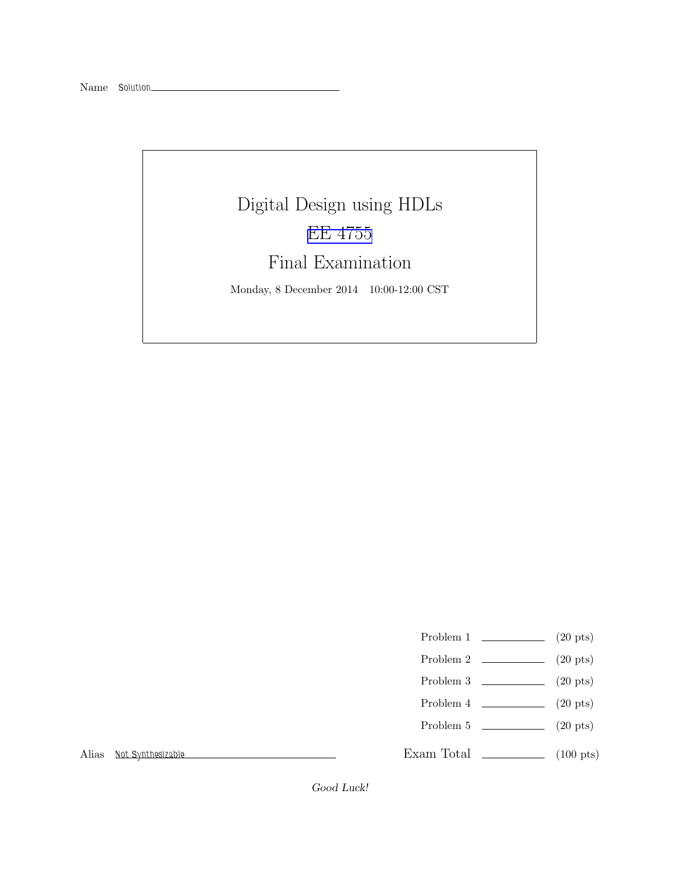# Digital Design using HDLs [EE 4755](http://www.ece.lsu.edu/koppel/v/) Final Examination Monday, 8 December 2014 10:00-12:00 CST

- Problem 1 (20 pts)
- Problem 2  $\qquad \qquad$  (20 pts)
- Problem 3  $\qquad \qquad (20 \text{ pts})$
- Problem 4  $\qquad \qquad (20 \text{ pts})$
- Problem 5 (20 pts)

Exam Total \_\_\_\_\_\_\_\_\_\_\_\_\_\_ (100 pts)

Alias Not Synthesizable

Good Luck!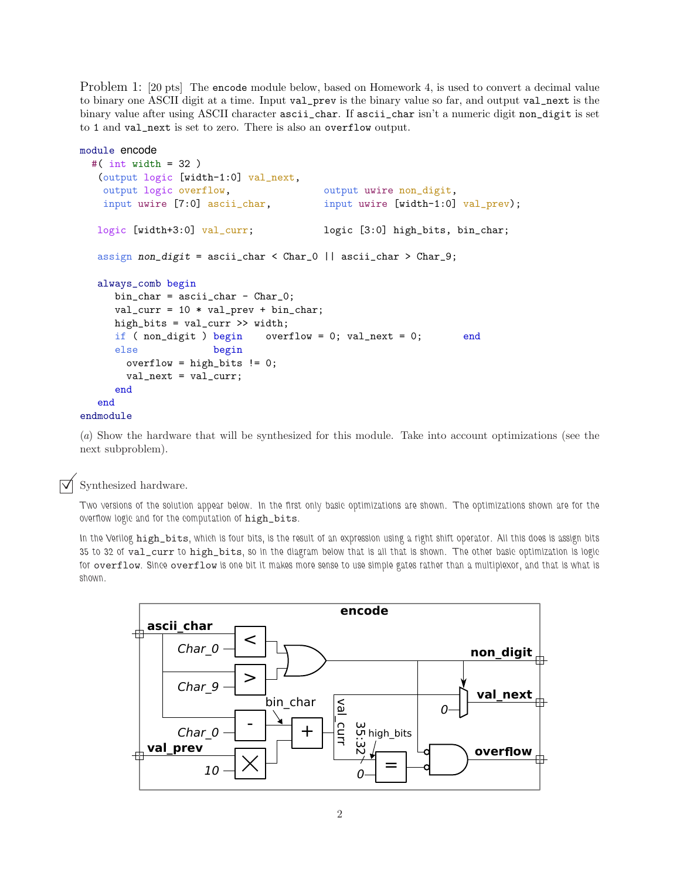Problem 1: [20 pts] The encode module below, based on Homework 4, is used to convert a decimal value to binary one ASCII digit at a time. Input val\_prev is the binary value so far, and output val\_next is the binary value after using ASCII character ascii\_char. If ascii\_char isn't a numeric digit non\_digit is set to 1 and val\_next is set to zero. There is also an overflow output.

```
module encode
 #( int width = 32 )
   (output logic [width-1:0] val_next,
   output logic overflow, \qquad \qquad output uwire non_digit,
   input uwire [7:0] ascii_char, input uwire [width-1:0] val_prev);
   logic [width+3:0] val_curr; logic [3:0] high_bits, bin_char;
   assign non_digit = ascii_char < Char_0 || ascii_char > Char_9;
  always_comb begin
     bin\_char = <i>ascii\_char - Char_0</i>;val\_curr = 10 * val\_prev + bin\_char;high_bits = val_curr >> width;
     if ( non_digit ) begin overflow = 0; val_next = 0; end
     else begin
       overflow = high_bits != 0;
       val_next = val_curr;
     end
  end
endmodule
```
(a) Show the hardware that will be synthesized for this module. Take into account optimizations (see the next subproblem).

Synthesized hardware.

Two versions of the solution appear below. In the first only basic optimizations are shown. The optimizations shown are for the overflow logic and for the computation of high\_bits.

In the Verilog high\_bits, which is four bits, is the result of an expression using a right shift operator. All this does is assign bits 35 to 32 of val\_curr to high\_bits, so in the diagram below that is all that is shown. The other basic optimization is logic for overflow. Since overflow is one bit it makes more sense to use simple gates rather than a multiplexor, and that is what is shown.

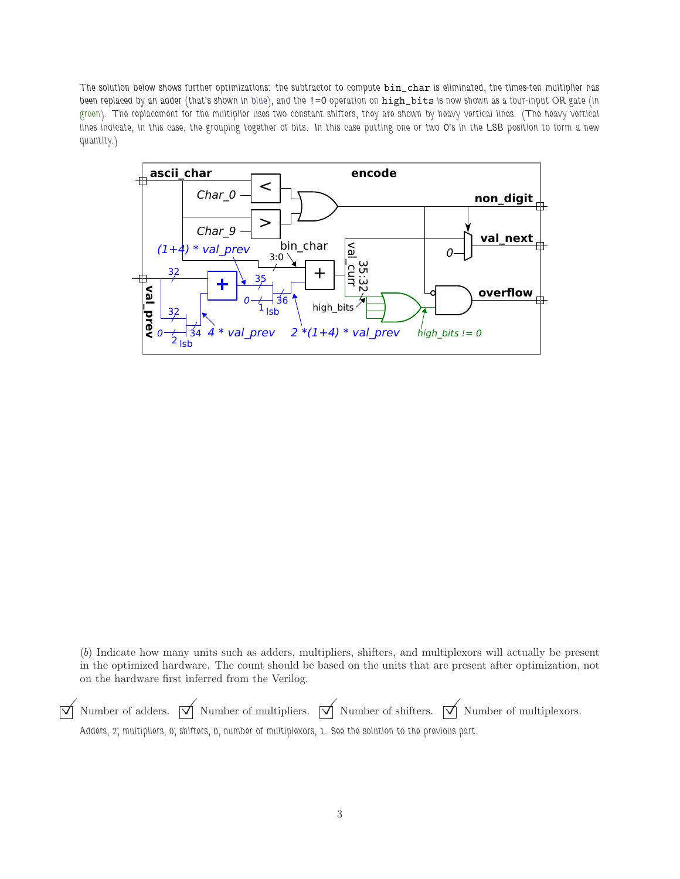The solution below shows further optimizations: the subtractor to compute  $bin\_char$  is eliminated, the times-ten multiplier has been replaced by an adder (that's shown in blue), and the != O operation on high\_bits is now shown as a four-input OR gate (in green). The replacement for the multiplier uses two constant shifters, they are shown by heavy vertical lines. (The heavy vertical lines indicate, in this case, the grouping together of bits. In this case putting one or two 0's in the LSB position to form a new quantity.)



(b) Indicate how many units such as adders, multipliers, shifters, and multiplexors will actually be present in the optimized hardware. The count should be based on the units that are present after optimization, not on the hardware first inferred from the Verilog.

 $\overrightarrow{\mathcal{A}}$  Number of adders.  $\overrightarrow{\mathcal{A}}$  Number of multipliers.  $\overrightarrow{\mathcal{A}}$  Number of multiplexors. Adders, 2; multipliers, 0; shifters, 0, number of multiplexors, 1. See the solution to the previous part.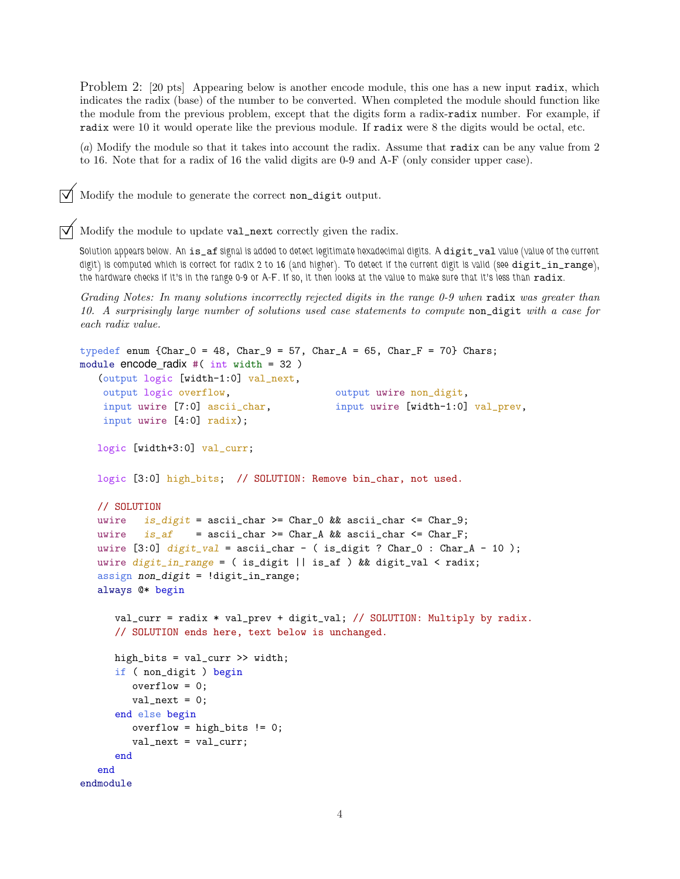Problem 2: [20 pts] Appearing below is another encode module, this one has a new input radix, which indicates the radix (base) of the number to be converted. When completed the module should function like the module from the previous problem, except that the digits form a radix-radix number. For example, if radix were 10 it would operate like the previous module. If radix were 8 the digits would be octal, etc.

(a) Modify the module so that it takes into account the radix. Assume that radix can be any value from 2 to 16. Note that for a radix of 16 the valid digits are 0-9 and A-F (only consider upper case).

Modify the module to generate the correct non\_digit output.

 $\triangledown$  Modify the module to update val\_next correctly given the radix.

Solution appears below. An is\_af signal is added to detect legitimate hexadecimal digits. A digit\_val value (value of the current digit) is computed which is correct for radix 2 to 16 (and higher). To detect if the current digit is valid (see digit\_in\_range), the hardware checks if it's in the range 0-9 or A-F. If so, it then looks at the value to make sure that it's less than radix.

Grading Notes: In many solutions incorrectly rejected digits in the range 0-9 when radix was greater than 10. A surprisingly large number of solutions used case statements to compute non\_digit with a case for each radix value.

```
typedef enum {Char_0 = 48, Char_9 = 57, Char_A = 65, Char_F = 70} Chars;
module encode_radix #( int width = 32 )
   (output logic [width-1:0] val_next,
   output logic overflow, output wire non_digit,
   input uwire [7:0] ascii_char, input uwire [width-1:0] val_prev,
   input uwire [4:0] radix);
  logic [width+3:0] val_curr;
  logic [3:0] high_bits; // SOLUTION: Remove bin_char, not used.
  // SOLUTION
  uwire is digit = ascii_char >= Char 0 && ascii_char <= Char 9;
  uwire is\_af = ascii_char >= Char_A && ascii_char <= Char_F;
  uwire [3:0] digit_val = ascii_char - ( is_digit ? Char_0 : Char_A - 10 );
  uwire digit\_in\_range = ( is\_digit || is\_af ) && digit_val < radix;
  assign non-digit = !digit_in_range;always @* begin
     val_curr = radix * val_prev + digit_val; // SOLUTION: Multiply by radix.
     // SOLUTION ends here, text below is unchanged.
     high_bits = val_curr >> width;
     if ( non_digit ) begin
        overflow = 0;
        val\_next = 0;end else begin
        overflow = high\_bits != 0;
        val_next = val_curr;
     end
  end
endmodule
```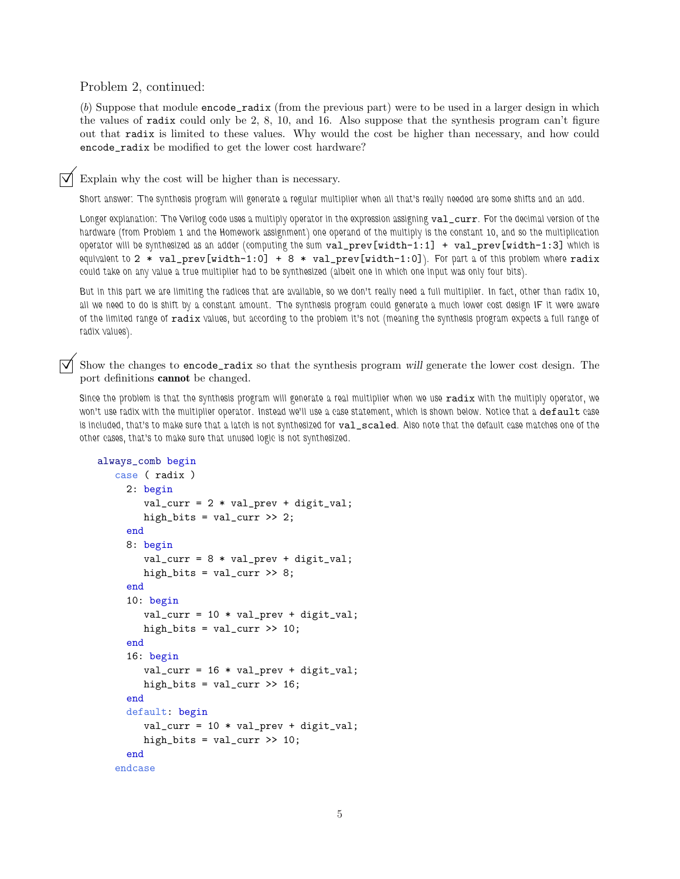Problem 2, continued:

(b) Suppose that module encode\_radix (from the previous part) were to be used in a larger design in which the values of radix could only be 2, 8, 10, and 16. Also suppose that the synthesis program can't figure out that radix is limited to these values. Why would the cost be higher than necessary, and how could encode\_radix be modified to get the lower cost hardware?

Explain why the cost will be higher than is necessary.

Short answer: The synthesis program will generate a regular multiplier when all that's really needed are some shifts and an add.

Longer explanation: The Verilog code uses a multiply operator in the expression assigning val\_curr. For the decimal version of the hardware (from Problem 1 and the Homework assignment) one operand of the multiply is the constant 10, and so the multiplication operator will be synthesized as an adder (computing the sum  $val\_prev[width-1:1]$  +  $val\_prev[width-1:3]$  which is equivalent to 2  $*$  val\_prev[width-1:0] + 8  $*$  val\_prev[width-1:0]). For part a of this problem where radix could take on any value a true multiplier had to be synthesized (albeit one in which one input was only four bits).

But in this part we are limiting the radices that are available, so we don't really need a full multiplier. In fact, other than radix 10, all we need to do is shift by a constant amount. The synthesis program could generate a much lower cost design IF it were aware of the limited range of radix values, but according to the problem it's not (meaning the synthesis program expects a full range of radix values).

Show the changes to encode\_radix so that the synthesis program will generate the lower cost design. The port definitions cannot be changed.

Since the problem is that the synthesis program will generate a real multiplier when we use radix with the multiply operator, we won't use radix with the multiplier operator. Instead we'll use a case statement, which is shown below. Notice that a default case is included, that's to make sure that a latch is not synthesized for val\_scaled. Also note that the default case matches one of the other cases, that's to make sure that unused logic is not synthesized.

```
always_comb begin
   case ( radix )
     2: begin
        val\_curr = 2 * val\_prev + digit\_val;high_bits = val_curr \gg 2;
     end
     8: begin
        val\_curr = 8 * val\_prev + digit\_val;high_bits = val_curr \gg 8;end
     10: begin
        val\_curr = 10 * val\_prev + digit\_val;high_bits = val_curr \gg 10;
     end
     16: begin
        val\_curr = 16 * val\_prev + digit\_val;high_bits = val_curr \gg 16;
     end
     default: begin
        val\_curr = 10 * val\_prev + digit\_val;high_bits = val_curr \gg 10;
     end
   endcase
```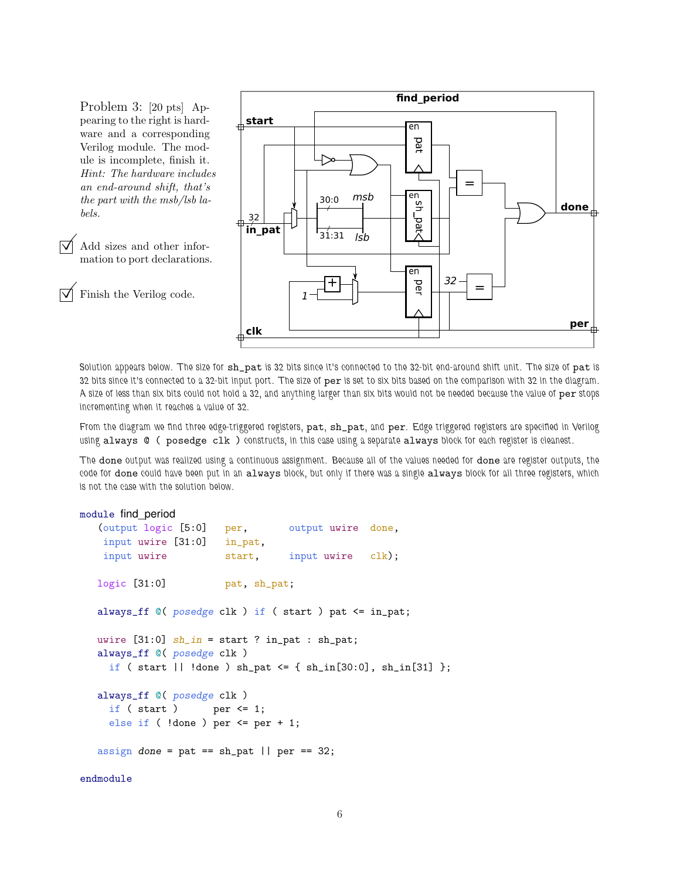Problem 3: [20 pts] Appearing to the right is hardware and a corresponding Verilog module. The module is incomplete, finish it. Hint: The hardware includes an end-around shift, that's the part with the msb/lsb labels.

 Add sizes and other information to port declarations.

Finish the Verilog code.



Solution appears below. The size for sh\_pat is 32 bits since it's connected to the 32-bit end-around shift unit. The size of pat is 32 bits since it's connected to a 32-bit input port. The size of per is set to six bits based on the comparison with 32 in the diagram. A size of less than six bits could not hold a 32, and anything larger than six bits would not be needed because the value of per stops incrementing when it reaches a value of 32.

From the diagram we find three edge-triggered registers, pat, sh\_pat, and per. Edge triggered registers are specified in Verilog using always @ ( posedge clk ) constructs, in this case using a separate always block for each register is cleanest.

The done output was realized using a continuous assignment. Because all of the values needed for done are register outputs, the code for done could have been put in an always block, but only if there was a single always block for all three registers, which is not the case with the solution below.

```
module find_period
   (output logic [5:0] per, output uwire done,
   input uwire [31:0] in_pat,
   input uwire start, input uwire clk);
  logic [31:0] pat, sh_pat;
  always_ff @( posedge clk ) if ( start ) pat <= in_pat;
  uwire [31:0] sh_in = start ? in_pat : sh_pat;
  always_ff @( posedge clk )
    if ( start || \cdot || done ) sh_pat <= { sh\_in[30:0], sh\_in[31] };
  always_ff @( posedge clk )
    if ( start ) per \leq 1;
    else if ( !done ) per \leq per + 1;
  assign done = pat == sh-pat || per == 32;
```
endmodule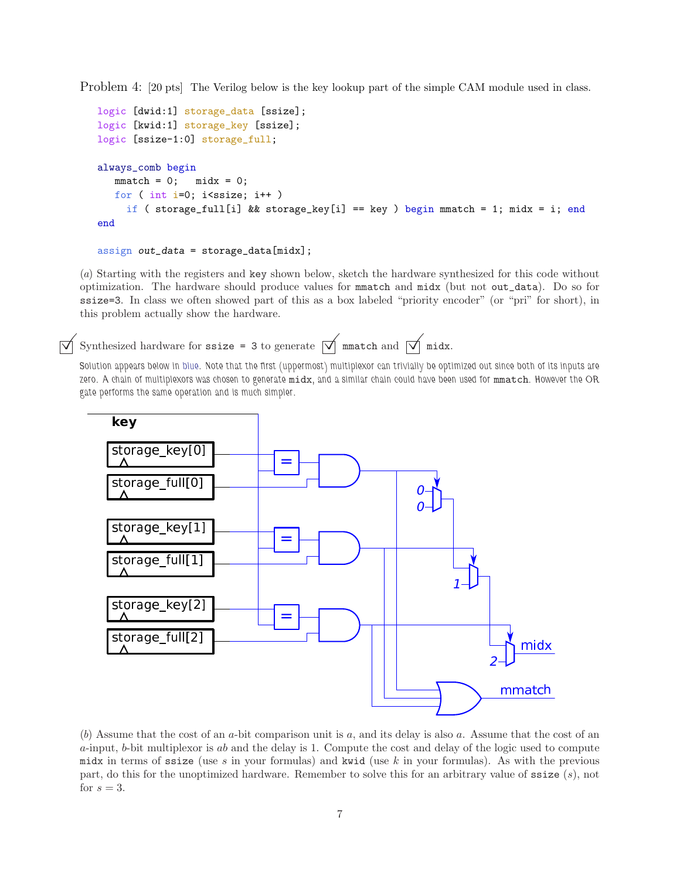Problem 4: [20 pts] The Verilog below is the key lookup part of the simple CAM module used in class.

```
logic [dwid:1] storage_data [ssize];
logic [kwid:1] storage_key [ssize];
logic [ssize-1:0] storage_full;
always_comb begin
   mmatch = 0; midx = 0;for ( int i=0; i<ssize; i++ )
     if ( storage_full[i] && storage_key[i] == key ) begin mmatch = 1; midx = i; end
end
```

```
assign out_data = storage_data[midx];
```
(a) Starting with the registers and key shown below, sketch the hardware synthesized for this code without optimization. The hardware should produce values for mmatch and midx (but not out\_data). Do so for ssize=3. In class we often showed part of this as a box labeled "priority encoder" (or "pri" for short), in this problem actually show the hardware.

Synthesized hardware for ssize = 3 to generate  $\sqrt{\parallel m \text{match}}$  and  $\sqrt{\parallel m \text{idx}}$ .

Solution appears below in blue. Note that the first (uppermost) multiplexor can trivially be optimized out since both of its inputs are zero. A chain of multiplexors was chosen to generate midx, and a similar chain could have been used for mmatch. However the OR gate performs the same operation and is much simpler.



(b) Assume that the cost of an a-bit comparison unit is a, and its delay is also a. Assume that the cost of an  $a$ -input,  $b$ -bit multiplexor is  $ab$  and the delay is 1. Compute the cost and delay of the logic used to compute midx in terms of ssize (use s in your formulas) and kwid (use k in your formulas). As with the previous part, do this for the unoptimized hardware. Remember to solve this for an arbitrary value of  $\texttt{ssize}(s)$ , not for  $s=3$ .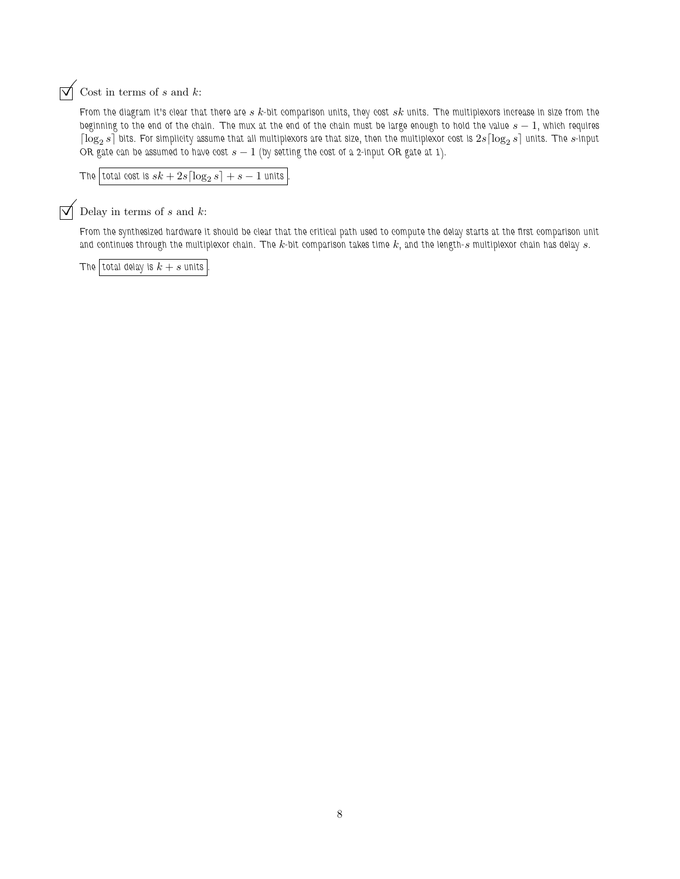$\overrightarrow{\bigvee}$  Cost in terms of s and k:

From the diagram it's clear that there are  $s$   $k$ -bit comparison units, they cost  $sk$  units. The multiplexors increase in size from the beginning to the end of the chain. The mux at the end of the chain must be large enough to hold the value  $s - 1$ , which requires  $\lceil \log_2 s \rceil$  bits. For simplicity assume that all multiplexors are that size, then the multiplexor cost is  $2s \lceil \log_2 s \rceil$  units. The  $s$ -input OR gate can be assumed to have cost  $s - 1$  (by setting the cost of a 2-input OR gate at 1).

```
The |\text{total cost is } sk + 2s \lceil \log_2 s \rceil + s - 1 units \lceil \log_2 s \rceil + s
```
 $\triangledown$  Delay in terms of s and k:

From the synthesized hardware it should be clear that the critical path used to compute the delay starts at the first comparison unit and continues through the multiplexor chain. The k-bit comparison takes time  $k$ , and the length-s multiplexor chain has delay s.

The total delay is  $k + s$  units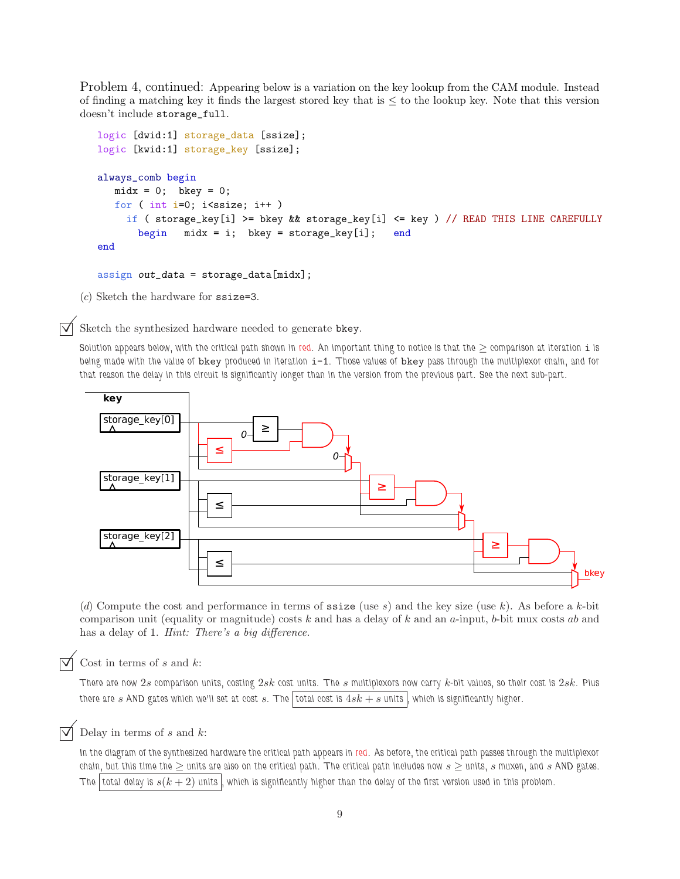Problem 4, continued: Appearing below is a variation on the key lookup from the CAM module. Instead of finding a matching key it finds the largest stored key that is  $\leq$  to the lookup key. Note that this version doesn't include storage\_full.

```
logic [dwid:1] storage_data [ssize];
logic [kwid:1] storage_key [ssize];
always_comb begin
  midx = 0; bkey = 0;
  for ( int i=0; i <ssize; i++ )
     if ( storage_key[i] >= bkey && storage_key[i] <= key ) // READ THIS LINE CAREFULLY
       begin mid x = i; bkey = storage_key[i]; end
end
```
assign out\_data = storage\_data[midx];

(c) Sketch the hardware for ssize=3.

Sketch the synthesized hardware needed to generate bkey.

Solution appears below, with the critical path shown in red. An important thing to notice is that the  $\geq$  comparison at iteration i is being made with the value of bkey produced in iteration  $i-1$ . Those values of bkey pass through the multiplexor chain, and for that reason the delay in this circuit is significantly longer than in the version from the previous part. See the next sub-part.



(d) Compute the cost and performance in terms of  $\text{ssize}$  (use s) and the key size (use k). As before a k-bit comparison unit (equality or magnitude) costs  $k$  and has a delay of  $k$  and an a-input, b-bit mux costs  $ab$  and has a delay of 1. Hint: There's a big difference.

Cost in terms of  $s$  and  $k$ :

There are now  $2s$  comparison units, costing  $2sk$  cost units. The  $s$  multiplexors now carry  $k$ -bit values, so their cost is  $2sk$ . Plus there are s AND gates which we'll set at cost s. The total cost is  $4sk + s$  units , which is significantly higher.

Delay in terms of  $s$  and  $k$ :

In the diagram of the synthesized hardware the critical path appears in red. As before, the critical path passes through the multiplexor chain, but this time the  $\geq$  units are also on the critical path. The critical path includes now  $s \geq$  units, s muxen, and s AND gates. The total delay is  $s(k + 2)$  units , which is significantly higher than the delay of the first version used in this problem.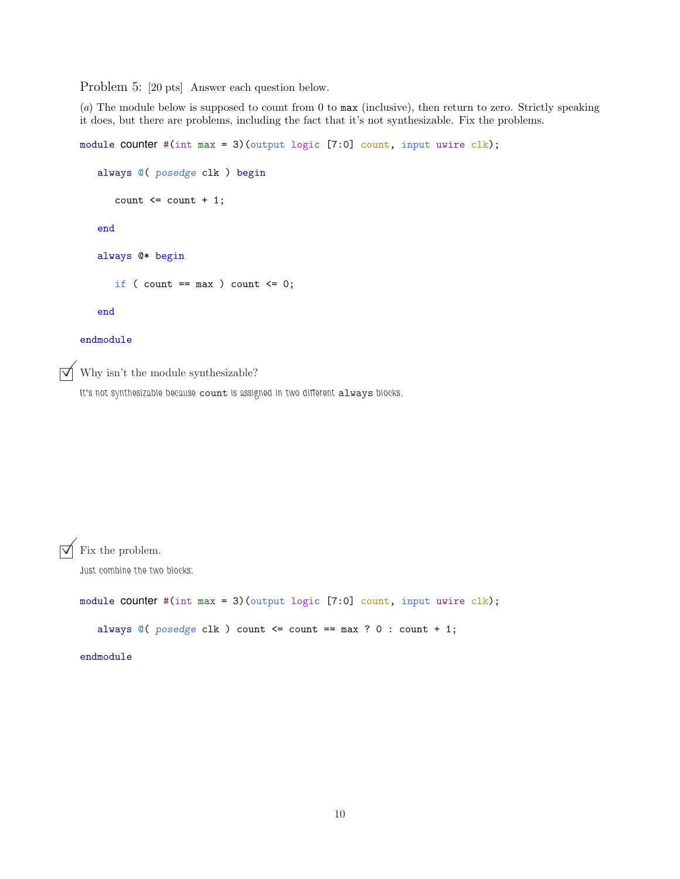Problem 5: [20 pts] Answer each question below.

(a) The module below is supposed to count from 0 to max (inclusive), then return to zero. Strictly speaking it does, but there are problems, including the fact that it's not synthesizable. Fix the problems.

```
module COUNTER #(int max = 3)(output logic [7:0] count, input uwire clk);
       always @( posedge clk ) begin
           count \leq count + 1;end
       always @* begin
           if ( count == max ) count <= 0;end
    endmodule
\triangledown Why isn't the module synthesizable?
    It's not synthesizable because count is assigned in two different always blocks.
```
 $\triangledown$  Fix the problem.

Just combine the two blocks:

module **counter** #(int max = 3)(output logic [7:0] count, input uwire clk);

always  $@($  posedge clk  $)$  count  $\leq$  count  $==$  max ? 0 : count + 1;

endmodule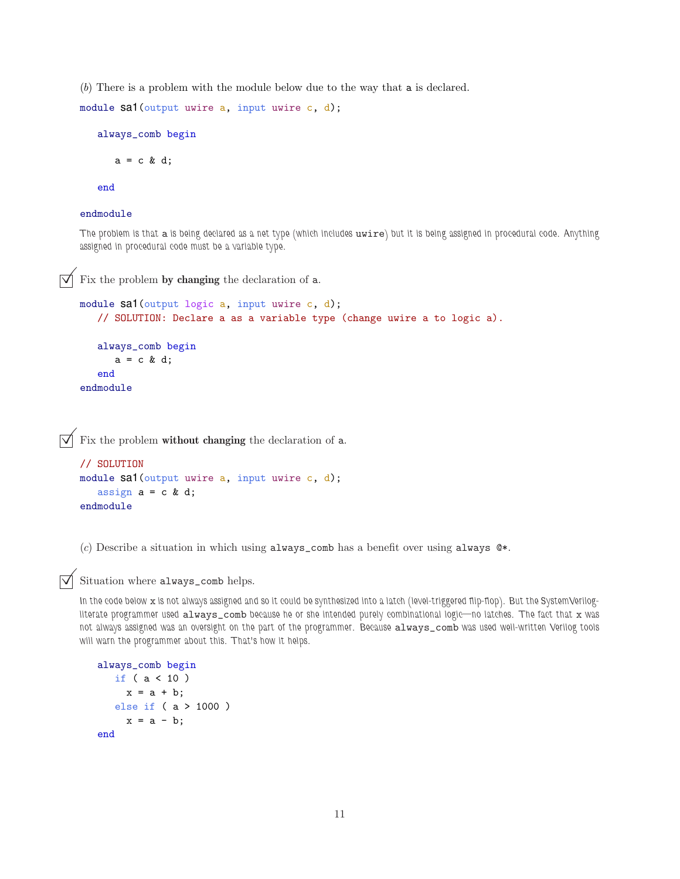(b) There is a problem with the module below due to the way that a is declared.

```
module sa1(output uwire a, input uwire c, d);
```
always\_comb begin

 $a = c \& d;$ 

end

#### endmodule

The problem is that a is being declared as a net type (which includes uwire) but it is being assigned in procedural code. Anything assigned in procedural code must be a variable type.

 $\overrightarrow{\mathsf{V}}$  Fix the problem by changing the declaration of a.

```
module sa1(output logic a, input uwire c, d);
   // SOLUTION: Declare a as a variable type (change uwire a to logic a).
   always_comb begin
      a = c \& d;end
endmodule
```
 $\overrightarrow{\mathcal{A}}$  Fix the problem without changing the declaration of a.

```
// SOLUTION
module sa1(output uwire a, input uwire c, d);
   assign a = c \& d;endmodule
```
(c) Describe a situation in which using always\_comb has a benefit over using always  $\mathcal{Q}^*$ .

### Situation where always\_comb helps.

In the code below x is not always assigned and so it could be synthesized into a latch (level-triggered flip-flop). But the SystemVerilogliterate programmer used always\_comb because he or she intended purely combinational logic—no latches. The fact that x was not always assigned was an oversight on the part of the programmer. Because always\_comb was used well-written Verilog tools will warn the programmer about this. That's how it helps.

```
always_comb begin
  if ( a < 10 )
    x = a + b;
   else if ( a > 1000 )
     x = a - b;end
```